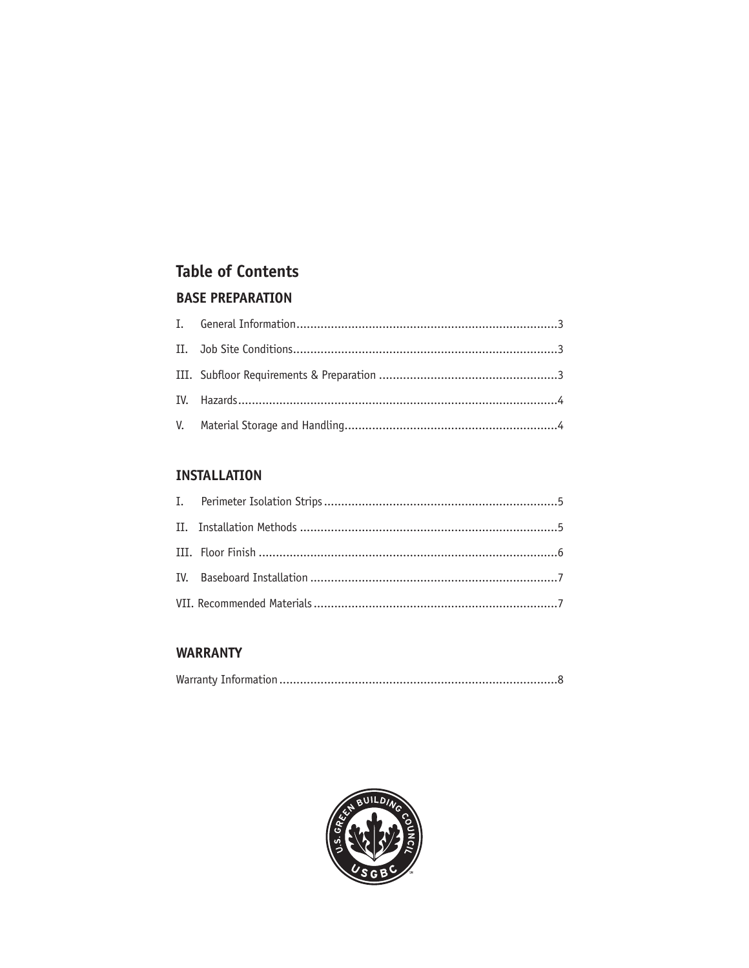# **Table of Contents BASE PREPARATION**

#### **INSTALLATION**

### **WARRANTY**

|--|--|

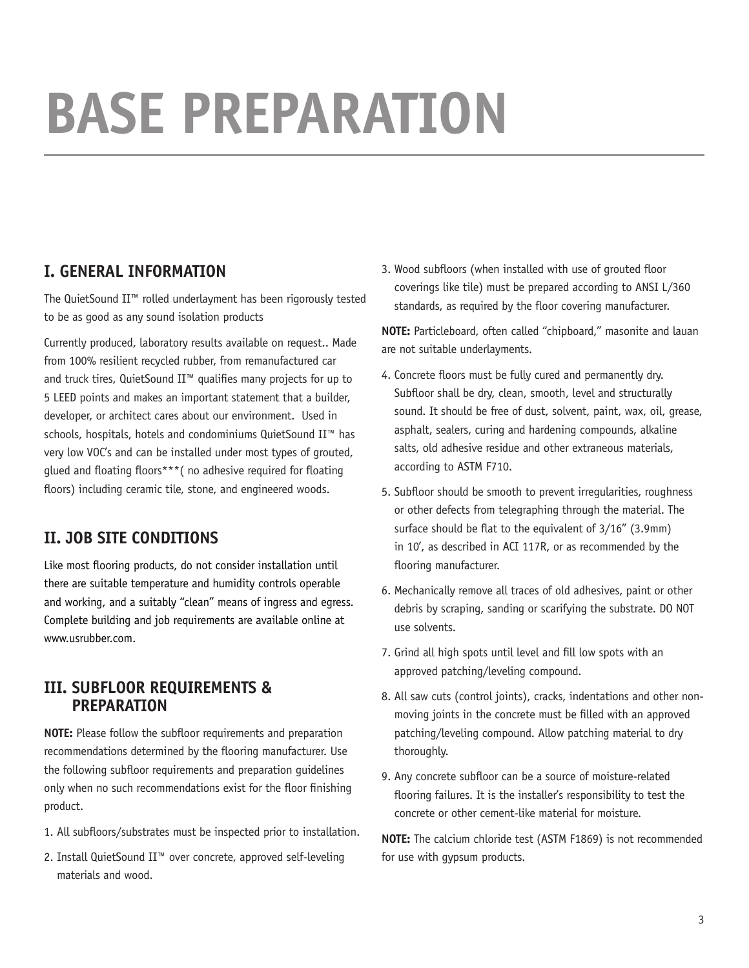# **Base Preparation**

# **I. GENERAL INFORMATION**

The QuietSound II™ rolled underlayment has been rigorously tested to be as good as any sound isolation products

Currently produced, laboratory results available on request.. Made from 100% resilient recycled rubber, from remanufactured car and truck tires, QuietSound II™ qualifies many projects for up to 5 LEED points and makes an important statement that a builder, developer, or architect cares about our environment. Used in schools, hospitals, hotels and condominiums QuietSound II™ has very low VOC's and can be installed under most types of grouted, glued and floating floors\*\*\*( no adhesive required for floating floors) including ceramic tile, stone, and engineered woods.

# **II. JOB SITE CONDITIONS**

Like most flooring products, do not consider installation until there are suitable temperature and humidity controls operable and working, and a suitably "clean" means of ingress and egress. Complete building and job requirements are available online at www.usrubber.com.

## **III. SUBFLOOR REQUIREMENTS & PREPARATION**

**NOTE:** Please follow the subfloor requirements and preparation recommendations determined by the flooring manufacturer. Use the following subfloor requirements and preparation guidelines only when no such recommendations exist for the floor finishing product.

- 1. All subfloors/substrates must be inspected prior to installation.
- 2. Install QuietSound II™ over concrete, approved self-leveling materials and wood.

3. Wood subfloors (when installed with use of grouted floor coverings like tile) must be prepared according to ANSI L/360 standards, as required by the floor covering manufacturer.

**NOTE:** Particleboard, often called "chipboard," masonite and lauan are not suitable underlayments.

- 4. Concrete floors must be fully cured and permanently dry. Subfloor shall be dry, clean, smooth, level and structurally sound. It should be free of dust, solvent, paint, wax, oil, grease, asphalt, sealers, curing and hardening compounds, alkaline salts, old adhesive residue and other extraneous materials, according to ASTM F710.
- 5. Subfloor should be smooth to prevent irregularities, roughness or other defects from telegraphing through the material. The surface should be flat to the equivalent of 3/16" (3.9mm) in 10', as described in ACI 117R, or as recommended by the flooring manufacturer.
- 6. Mechanically remove all traces of old adhesives, paint or other debris by scraping, sanding or scarifying the substrate. DO NOT use solvents.
- 7. Grind all high spots until level and fill low spots with an approved patching/leveling compound.
- 8. All saw cuts (control joints), cracks, indentations and other nonmoving joints in the concrete must be filled with an approved patching/leveling compound. Allow patching material to dry thoroughly.
- 9. Any concrete subfloor can be a source of moisture-related flooring failures. It is the installer's responsibility to test the concrete or other cement-like material for moisture.

**NOTE:** The calcium chloride test (ASTM F1869) is not recommended for use with gypsum products.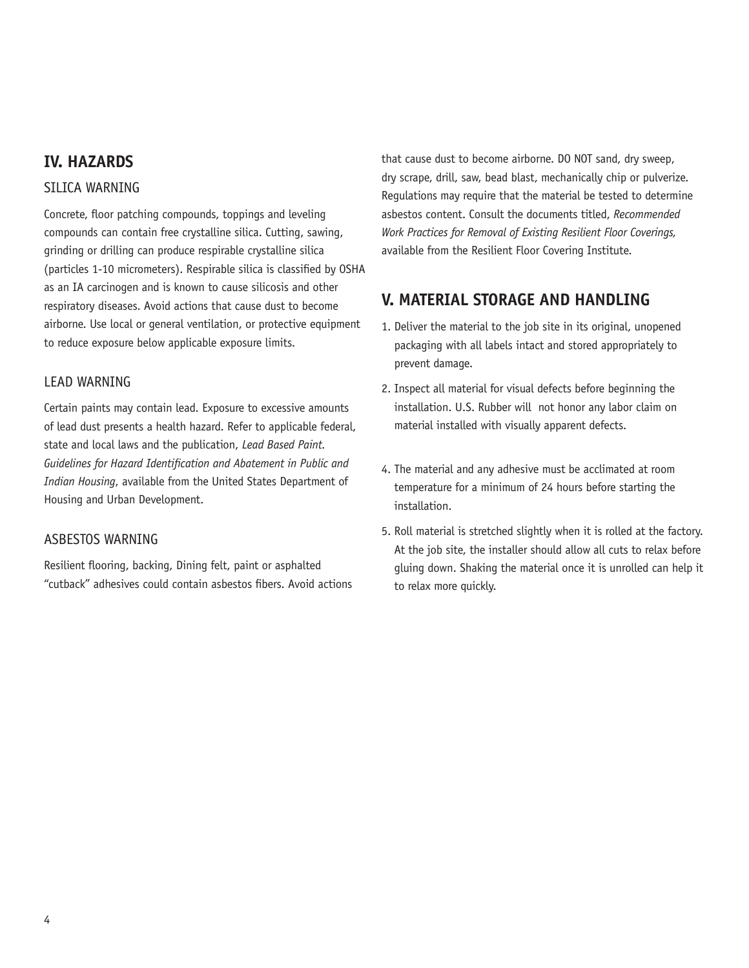## **IV. HAZARDS**

#### STI TCA WARNING

Concrete, floor patching compounds, toppings and leveling compounds can contain free crystalline silica. Cutting, sawing, grinding or drilling can produce respirable crystalline silica (particles 1-10 micrometers). Respirable silica is classified by OSHA as an IA carcinogen and is known to cause silicosis and other respiratory diseases. Avoid actions that cause dust to become airborne. Use local or general ventilation, or protective equipment to reduce exposure below applicable exposure limits.

#### LEAD WARNING

Certain paints may contain lead. Exposure to excessive amounts of lead dust presents a health hazard. Refer to applicable federal, state and local laws and the publication, *Lead Based Paint. Guidelines for Hazard Identification and Abatement in Public and Indian Housing*, available from the United States Department of Housing and Urban Development.

#### ASBESTOS WARNING

Resilient flooring, backing, Dining felt, paint or asphalted "cutback" adhesives could contain asbestos fibers. Avoid actions that cause dust to become airborne. DO NOT sand, dry sweep, dry scrape, drill, saw, bead blast, mechanically chip or pulverize. Regulations may require that the material be tested to determine asbestos content. Consult the documents titled, *Recommended Work Practices for Removal of Existing Resilient Floor Coverings,* available from the Resilient Floor Covering Institute.

## **V. MATERIAL STORAGE AND HANDLING**

- 1. Deliver the material to the job site in its original, unopened packaging with all labels intact and stored appropriately to prevent damage.
- 2. Inspect all material for visual defects before beginning the installation. U.S. Rubber will not honor any labor claim on material installed with visually apparent defects.
- 4. The material and any adhesive must be acclimated at room temperature for a minimum of 24 hours before starting the installation.
- 5. Roll material is stretched slightly when it is rolled at the factory. At the job site, the installer should allow all cuts to relax before gluing down. Shaking the material once it is unrolled can help it to relax more quickly.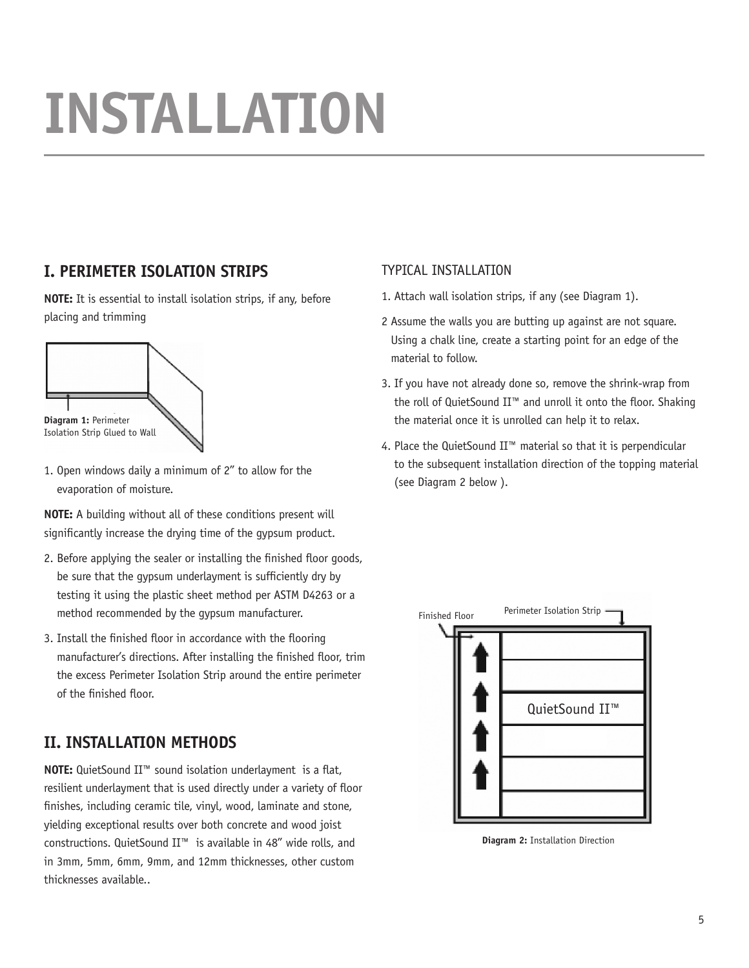# **INSTALLATION**

# **I. PERIMETER ISOLATION STRIPS**

**NOTE:** It is essential to install isolation strips, if any, before placing and trimming



1. Open windows daily a minimum of 2" to allow for the evaporation of moisture.

**NOTE:** A building without all of these conditions present will significantly increase the drying time of the gypsum product.

- 2. Before applying the sealer or installing the finished floor goods, be sure that the gypsum underlayment is sufficiently dry by testing it using the plastic sheet method per ASTM D4263 or a method recommended by the gypsum manufacturer.
- 3. Install the finished floor in accordance with the flooring manufacturer's directions. After installing the finished floor, trim the excess Perimeter Isolation Strip around the entire perimeter of the finished floor.

# **II. INSTALLATION METHODS**

**NOTE:** QuietSound II™ sound isolation underlayment is a flat, resilient underlayment that is used directly under a variety of floor finishes, including ceramic tile, vinyl, wood, laminate and stone, yielding exceptional results over both concrete and wood joist constructions. QuietSound II™ is available in 48" wide rolls, and in 3mm, 5mm, 6mm, 9mm, and 12mm thicknesses, other custom thicknesses available..

## TYPICAL INSTALLATION

- 1. Attach wall isolation strips, if any (see Diagram 1).
- 2 Assume the walls you are butting up against are not square. Using a chalk line, create a starting point for an edge of the material to follow.
- 3. If you have not already done so, remove the shrink-wrap from the roll of QuietSound II™ and unroll it onto the floor. Shaking the material once it is unrolled can help it to relax.
- 4. Place the QuietSound II™ material so that it is perpendicular to the subsequent installation direction of the topping material (see Diagram 2 below ).



**Diagram 2:** Installation Direction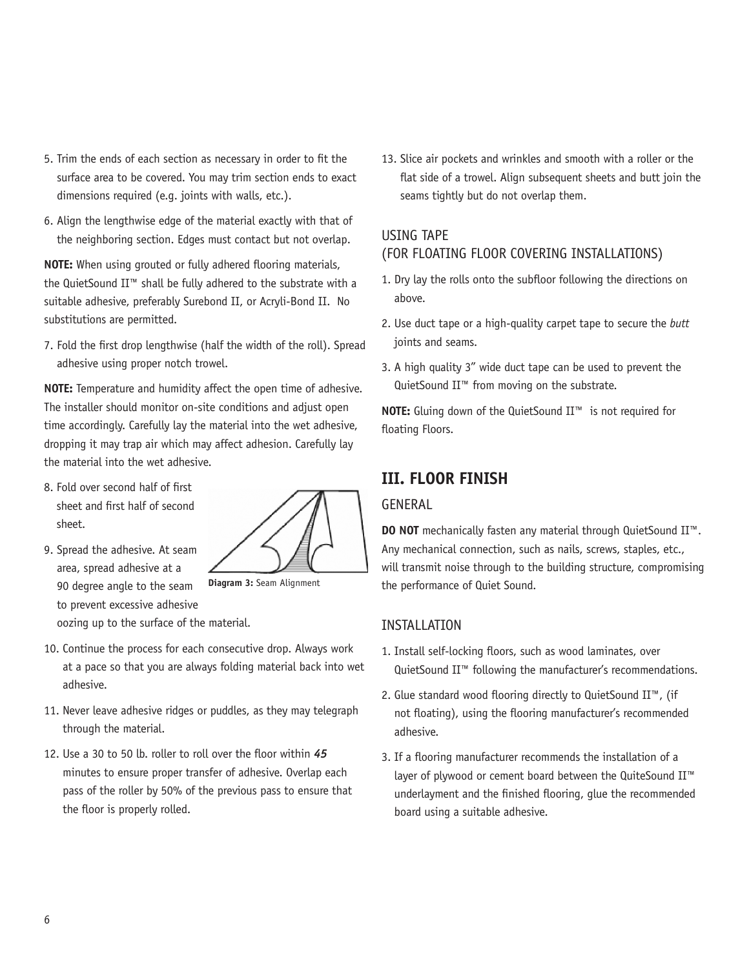- 5. Trim the ends of each section as necessary in order to fit the surface area to be covered. You may trim section ends to exact dimensions required (e.g. joints with walls, etc.).
- 6. Align the lengthwise edge of the material exactly with that of the neighboring section. Edges must contact but not overlap.

**NOTE:** When using grouted or fully adhered flooring materials, the QuietSound II™ shall be fully adhered to the substrate with a suitable adhesive, preferably Surebond II, or Acryli-Bond II. No substitutions are permitted.

7. Fold the first drop lengthwise (half the width of the roll). Spread adhesive using proper notch trowel.

**NOTE:** Temperature and humidity affect the open time of adhesive. The installer should monitor on-site conditions and adjust open time accordingly. Carefully lay the material into the wet adhesive, dropping it may trap air which may affect adhesion. Carefully lay the material into the wet adhesive.

- 8. Fold over second half of first sheet and first half of second sheet.
- 9. Spread the adhesive. At seam area, spread adhesive at a 90 degree angle to the seam to prevent excessive adhesive oozing up to the surface of the material.



**Diagram 3:** Seam Alignment

- 10. Continue the process for each consecutive drop. Always work at a pace so that you are always folding material back into wet adhesive.
- 11. Never leave adhesive ridges or puddles, as they may telegraph through the material.
- 12. Use a 30 to 50 lb. roller to roll over the floor within *45* minutes to ensure proper transfer of adhesive. Overlap each pass of the roller by 50% of the previous pass to ensure that the floor is properly rolled.

13. Slice air pockets and wrinkles and smooth with a roller or the flat side of a trowel. Align subsequent sheets and butt join the seams tightly but do not overlap them.

## USING TAPE

## (FOR FLOATING FLOOR COVERING INSTALLATIONS)

- 1. Dry lay the rolls onto the subfloor following the directions on above.
- 2. Use duct tape or a high-quality carpet tape to secure the *butt* joints and seams.
- 3. A high quality 3" wide duct tape can be used to prevent the QuietSound II<sup>™</sup> from moving on the substrate.

**NOTE:** Gluing down of the QuietSound II™ is not required for floating Floors.

# **III. FLOOR FINISH**

#### GENERAL

**DO NOT** mechanically fasten any material through QuietSound II™. Any mechanical connection, such as nails, screws, staples, etc., will transmit noise through to the building structure, compromising the performance of Quiet Sound.

### INSTALLATION

- 1. Install self-locking floors, such as wood laminates, over QuietSound II™ following the manufacturer's recommendations.
- 2. Glue standard wood flooring directly to QuietSound II™, (if not floating), using the flooring manufacturer's recommended adhesive.
- 3. If a flooring manufacturer recommends the installation of a layer of plywood or cement board between the QuiteSound II™ underlayment and the finished flooring, glue the recommended board using a suitable adhesive.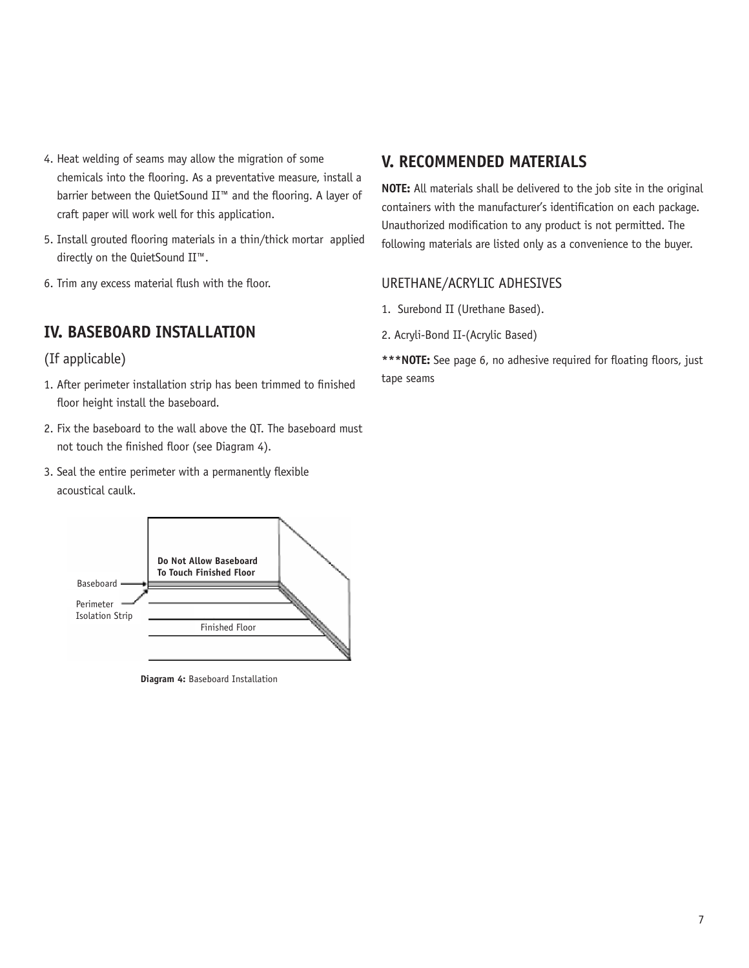- 4. Heat welding of seams may allow the migration of some chemicals into the flooring. As a preventative measure, install a barrier between the QuietSound II™ and the flooring. A layer of craft paper will work well for this application.
- 5. Install grouted flooring materials in a thin/thick mortar applied directly on the QuietSound II™.
- 6. Trim any excess material flush with the floor.

## **IV. BASEBOARD INSTALLATION**

### (If applicable)

- 1. After perimeter installation strip has been trimmed to finished floor height install the baseboard.
- 2. Fix the baseboard to the wall above the QT. The baseboard must not touch the finished floor (see Diagram 4).
- 3. Seal the entire perimeter with a permanently flexible acoustical caulk.



**Diagram 4:** Baseboard Installation

## **V. RECOMMENDED MATERIALS**

**NOTE:** All materials shall be delivered to the job site in the original containers with the manufacturer's identification on each package. Unauthorized modification to any product is not permitted. The following materials are listed only as a convenience to the buyer.

#### URETHANE/ACRYLIC ADHESIVES

- 1. Surebond II (Urethane Based).
- 2. Acryli-Bond II-(Acrylic Based)

\*\*\*NOTE: See page 6, no adhesive required for floating floors, just tape seams